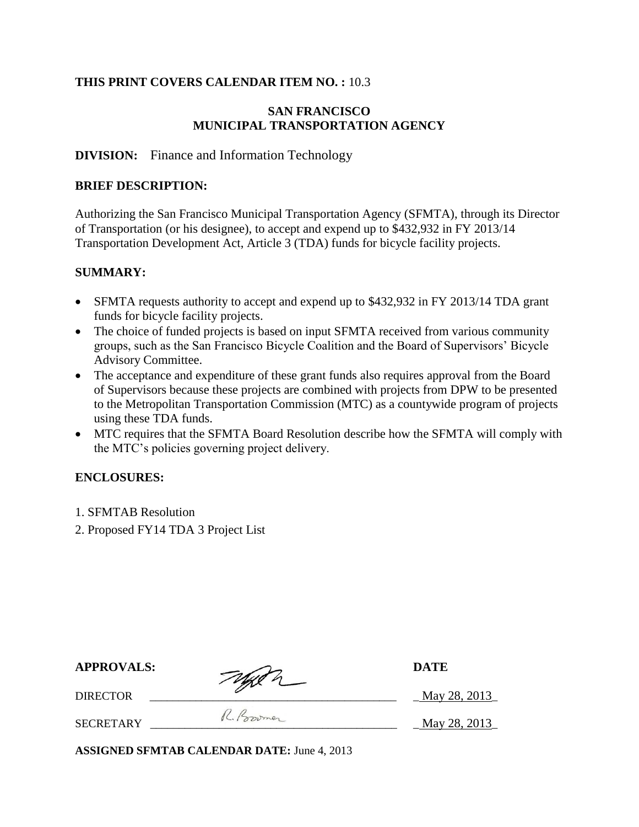#### **THIS PRINT COVERS CALENDAR ITEM NO. :** 10.3

#### **SAN FRANCISCO MUNICIPAL TRANSPORTATION AGENCY**

#### **DIVISION:** Finance and Information Technology

#### **BRIEF DESCRIPTION:**

Authorizing the San Francisco Municipal Transportation Agency (SFMTA), through its Director of Transportation (or his designee), to accept and expend up to \$432,932 in FY 2013/14 Transportation Development Act, Article 3 (TDA) funds for bicycle facility projects.

#### **SUMMARY:**

- SFMTA requests authority to accept and expend up to \$432,932 in FY 2013/14 TDA grant funds for bicycle facility projects.
- The choice of funded projects is based on input SFMTA received from various community groups, such as the San Francisco Bicycle Coalition and the Board of Supervisors' Bicycle Advisory Committee.
- The acceptance and expenditure of these grant funds also requires approval from the Board of Supervisors because these projects are combined with projects from DPW to be presented to the Metropolitan Transportation Commission (MTC) as a countywide program of projects using these TDA funds.
- MTC requires that the SFMTA Board Resolution describe how the SFMTA will comply with the MTC's policies governing project delivery.

## **ENCLOSURES:**

- 1. SFMTAB Resolution
- 2. Proposed FY14 TDA 3 Project List

| <b>APPROVALS:</b> | Typen      | <b>DATE</b>  |
|-------------------|------------|--------------|
| DIRECTOR          |            | May 28, 2013 |
| SECRETARY         | R. Poromer | May 28, 2013 |

**ASSIGNED SFMTAB CALENDAR DATE:** June 4, 2013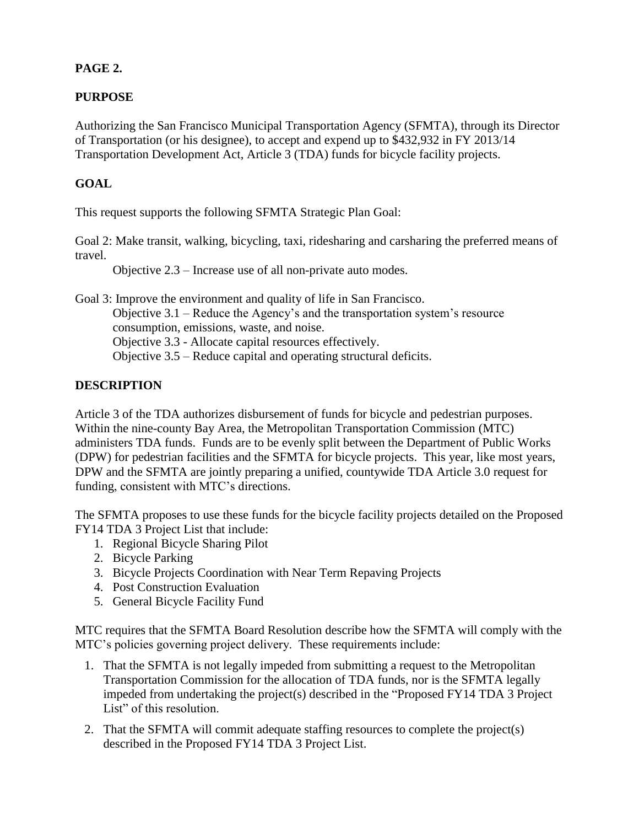# **PAGE 2.**

## **PURPOSE**

Authorizing the San Francisco Municipal Transportation Agency (SFMTA), through its Director of Transportation (or his designee), to accept and expend up to \$432,932 in FY 2013/14 Transportation Development Act, Article 3 (TDA) funds for bicycle facility projects.

## **GOAL**

This request supports the following SFMTA Strategic Plan Goal:

Goal 2: Make transit, walking, bicycling, taxi, ridesharing and carsharing the preferred means of travel.

Objective 2.3 – Increase use of all non-private auto modes.

Goal 3: Improve the environment and quality of life in San Francisco. Objective 3.1 – Reduce the Agency's and the transportation system's resource consumption, emissions, waste, and noise. Objective 3.3 - Allocate capital resources effectively. Objective 3.5 – Reduce capital and operating structural deficits.

## **DESCRIPTION**

Article 3 of the TDA authorizes disbursement of funds for bicycle and pedestrian purposes. Within the nine-county Bay Area, the Metropolitan Transportation Commission (MTC) administers TDA funds. Funds are to be evenly split between the Department of Public Works (DPW) for pedestrian facilities and the SFMTA for bicycle projects. This year, like most years, DPW and the SFMTA are jointly preparing a unified, countywide TDA Article 3.0 request for funding, consistent with MTC's directions.

The SFMTA proposes to use these funds for the bicycle facility projects detailed on the Proposed FY14 TDA 3 Project List that include:

- 1. Regional Bicycle Sharing Pilot
- 2. Bicycle Parking
- 3. Bicycle Projects Coordination with Near Term Repaving Projects
- 4. Post Construction Evaluation
- 5. General Bicycle Facility Fund

MTC requires that the SFMTA Board Resolution describe how the SFMTA will comply with the MTC's policies governing project delivery. These requirements include:

- 1. That the SFMTA is not legally impeded from submitting a request to the Metropolitan Transportation Commission for the allocation of TDA funds, nor is the SFMTA legally impeded from undertaking the project(s) described in the "Proposed FY14 TDA 3 Project List" of this resolution.
- 2. That the SFMTA will commit adequate staffing resources to complete the project(s) described in the Proposed FY14 TDA 3 Project List.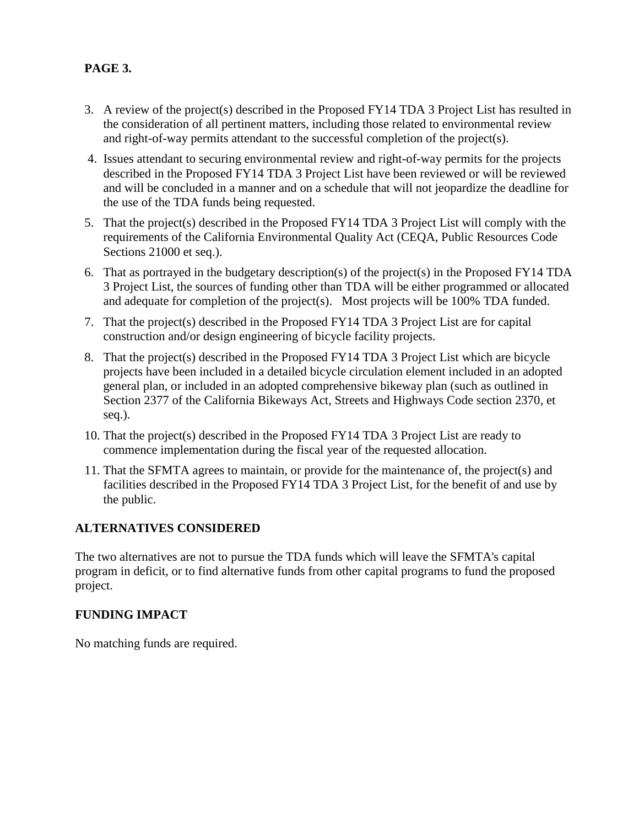# **PAGE 3.**

- 3. A review of the project(s) described in the Proposed FY14 TDA 3 Project List has resulted in the consideration of all pertinent matters, including those related to environmental review and right-of-way permits attendant to the successful completion of the project(s).
- 4. Issues attendant to securing environmental review and right-of-way permits for the projects described in the Proposed FY14 TDA 3 Project List have been reviewed or will be reviewed and will be concluded in a manner and on a schedule that will not jeopardize the deadline for the use of the TDA funds being requested.
- 5. That the project(s) described in the Proposed FY14 TDA 3 Project List will comply with the requirements of the California Environmental Quality Act (CEQA, Public Resources Code Sections 21000 et seq.).
- 6. That as portrayed in the budgetary description(s) of the project(s) in the Proposed FY14 TDA 3 Project List, the sources of funding other than TDA will be either programmed or allocated and adequate for completion of the project(s). Most projects will be 100% TDA funded.
- 7. That the project(s) described in the Proposed FY14 TDA 3 Project List are for capital construction and/or design engineering of bicycle facility projects.
- 8. That the project(s) described in the Proposed FY14 TDA 3 Project List which are bicycle projects have been included in a detailed bicycle circulation element included in an adopted general plan, or included in an adopted comprehensive bikeway plan (such as outlined in Section 2377 of the California Bikeways Act, Streets and Highways Code section 2370, et seq.).
- 10. That the project(s) described in the Proposed FY14 TDA 3 Project List are ready to commence implementation during the fiscal year of the requested allocation.
- 11. That the SFMTA agrees to maintain, or provide for the maintenance of, the project(s) and facilities described in the Proposed FY14 TDA 3 Project List, for the benefit of and use by the public.

## **ALTERNATIVES CONSIDERED**

The two alternatives are not to pursue the TDA funds which will leave the SFMTA's capital program in deficit, or to find alternative funds from other capital programs to fund the proposed project.

## **FUNDING IMPACT**

No matching funds are required.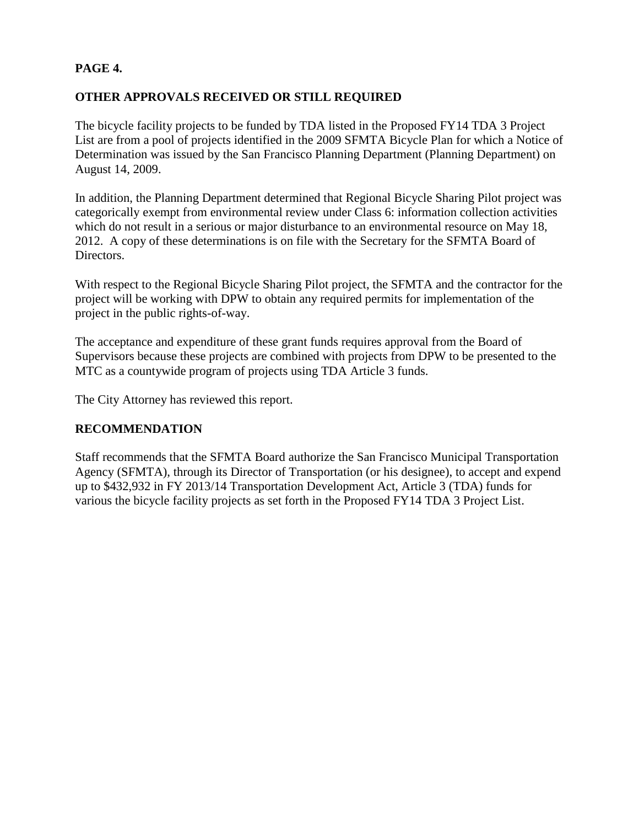## **PAGE 4.**

## **OTHER APPROVALS RECEIVED OR STILL REQUIRED**

The bicycle facility projects to be funded by TDA listed in the Proposed FY14 TDA 3 Project List are from a pool of projects identified in the 2009 SFMTA Bicycle Plan for which a Notice of Determination was issued by the San Francisco Planning Department (Planning Department) on August 14, 2009.

In addition, the Planning Department determined that Regional Bicycle Sharing Pilot project was categorically exempt from environmental review under Class 6: information collection activities which do not result in a serious or major disturbance to an environmental resource on May 18, 2012. A copy of these determinations is on file with the Secretary for the SFMTA Board of Directors.

With respect to the Regional Bicycle Sharing Pilot project, the SFMTA and the contractor for the project will be working with DPW to obtain any required permits for implementation of the project in the public rights-of-way.

The acceptance and expenditure of these grant funds requires approval from the Board of Supervisors because these projects are combined with projects from DPW to be presented to the MTC as a countywide program of projects using TDA Article 3 funds.

The City Attorney has reviewed this report.

## **RECOMMENDATION**

Staff recommends that the SFMTA Board authorize the San Francisco Municipal Transportation Agency (SFMTA), through its Director of Transportation (or his designee), to accept and expend up to \$432,932 in FY 2013/14 Transportation Development Act, Article 3 (TDA) funds for various the bicycle facility projects as set forth in the Proposed FY14 TDA 3 Project List.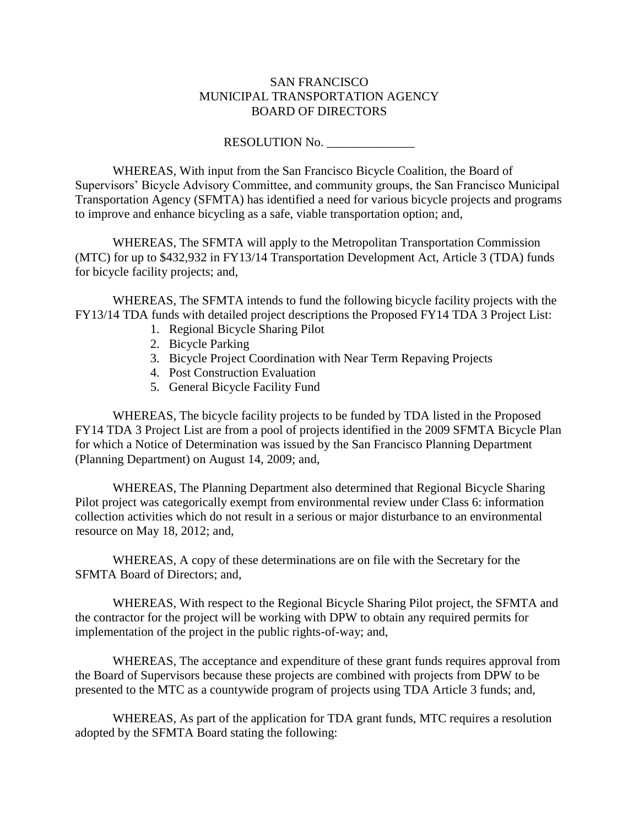#### SAN FRANCISCO MUNICIPAL TRANSPORTATION AGENCY BOARD OF DIRECTORS

#### RESOLUTION No.

WHEREAS, With input from the San Francisco Bicycle Coalition, the Board of Supervisors' Bicycle Advisory Committee, and community groups, the San Francisco Municipal Transportation Agency (SFMTA) has identified a need for various bicycle projects and programs to improve and enhance bicycling as a safe, viable transportation option; and,

WHEREAS, The SFMTA will apply to the Metropolitan Transportation Commission (MTC) for up to \$432,932 in FY13/14 Transportation Development Act, Article 3 (TDA) funds for bicycle facility projects; and,

WHEREAS, The SFMTA intends to fund the following bicycle facility projects with the FY13/14 TDA funds with detailed project descriptions the Proposed FY14 TDA 3 Project List:

- 1. Regional Bicycle Sharing Pilot
- 2. Bicycle Parking
- 3. Bicycle Project Coordination with Near Term Repaving Projects
- 4. Post Construction Evaluation
- 5. General Bicycle Facility Fund

WHEREAS, The bicycle facility projects to be funded by TDA listed in the Proposed FY14 TDA 3 Project List are from a pool of projects identified in the 2009 SFMTA Bicycle Plan for which a Notice of Determination was issued by the San Francisco Planning Department (Planning Department) on August 14, 2009; and,

WHEREAS, The Planning Department also determined that Regional Bicycle Sharing Pilot project was categorically exempt from environmental review under Class 6: information collection activities which do not result in a serious or major disturbance to an environmental resource on May 18, 2012; and,

WHEREAS, A copy of these determinations are on file with the Secretary for the SFMTA Board of Directors; and,

WHEREAS, With respect to the Regional Bicycle Sharing Pilot project, the SFMTA and the contractor for the project will be working with DPW to obtain any required permits for implementation of the project in the public rights-of-way; and,

WHEREAS, The acceptance and expenditure of these grant funds requires approval from the Board of Supervisors because these projects are combined with projects from DPW to be presented to the MTC as a countywide program of projects using TDA Article 3 funds; and,

WHEREAS, As part of the application for TDA grant funds, MTC requires a resolution adopted by the SFMTA Board stating the following: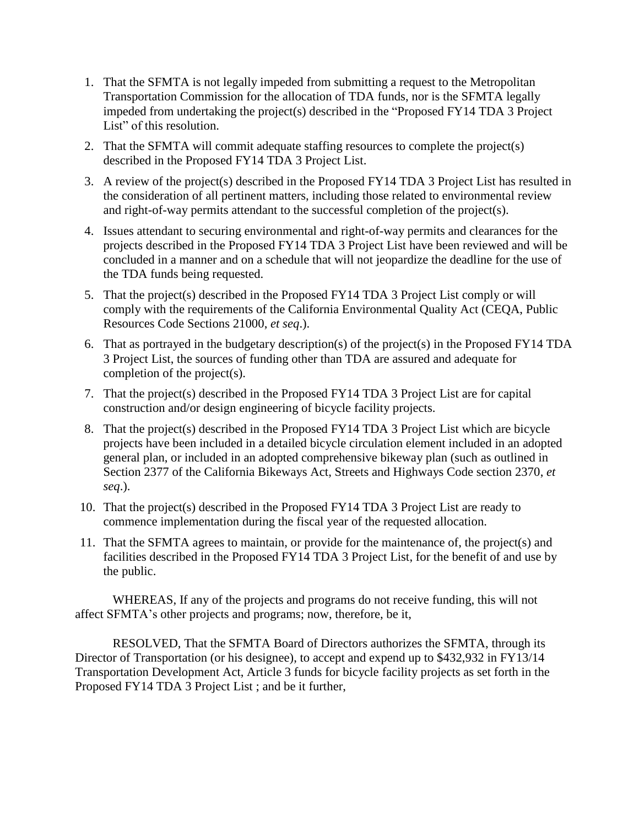- 1. That the SFMTA is not legally impeded from submitting a request to the Metropolitan Transportation Commission for the allocation of TDA funds, nor is the SFMTA legally impeded from undertaking the project(s) described in the "Proposed FY14 TDA 3 Project List" of this resolution.
- 2. That the SFMTA will commit adequate staffing resources to complete the project(s) described in the Proposed FY14 TDA 3 Project List.
- 3. A review of the project(s) described in the Proposed FY14 TDA 3 Project List has resulted in the consideration of all pertinent matters, including those related to environmental review and right-of-way permits attendant to the successful completion of the project(s).
- 4. Issues attendant to securing environmental and right-of-way permits and clearances for the projects described in the Proposed FY14 TDA 3 Project List have been reviewed and will be concluded in a manner and on a schedule that will not jeopardize the deadline for the use of the TDA funds being requested.
- 5. That the project(s) described in the Proposed FY14 TDA 3 Project List comply or will comply with the requirements of the California Environmental Quality Act (CEQA, Public Resources Code Sections 21000, *et seq*.).
- 6. That as portrayed in the budgetary description(s) of the project(s) in the Proposed FY14 TDA 3 Project List, the sources of funding other than TDA are assured and adequate for completion of the project(s).
- 7. That the project(s) described in the Proposed FY14 TDA 3 Project List are for capital construction and/or design engineering of bicycle facility projects.
- 8. That the project(s) described in the Proposed FY14 TDA 3 Project List which are bicycle projects have been included in a detailed bicycle circulation element included in an adopted general plan, or included in an adopted comprehensive bikeway plan (such as outlined in Section 2377 of the California Bikeways Act, Streets and Highways Code section 2370, *et seq*.).
- 10. That the project(s) described in the Proposed FY14 TDA 3 Project List are ready to commence implementation during the fiscal year of the requested allocation.
- 11. That the SFMTA agrees to maintain, or provide for the maintenance of, the project(s) and facilities described in the Proposed FY14 TDA 3 Project List, for the benefit of and use by the public.

WHEREAS, If any of the projects and programs do not receive funding, this will not affect SFMTA's other projects and programs; now, therefore, be it,

RESOLVED, That the SFMTA Board of Directors authorizes the SFMTA, through its Director of Transportation (or his designee), to accept and expend up to \$432,932 in FY13/14 Transportation Development Act, Article 3 funds for bicycle facility projects as set forth in the Proposed FY14 TDA 3 Project List ; and be it further,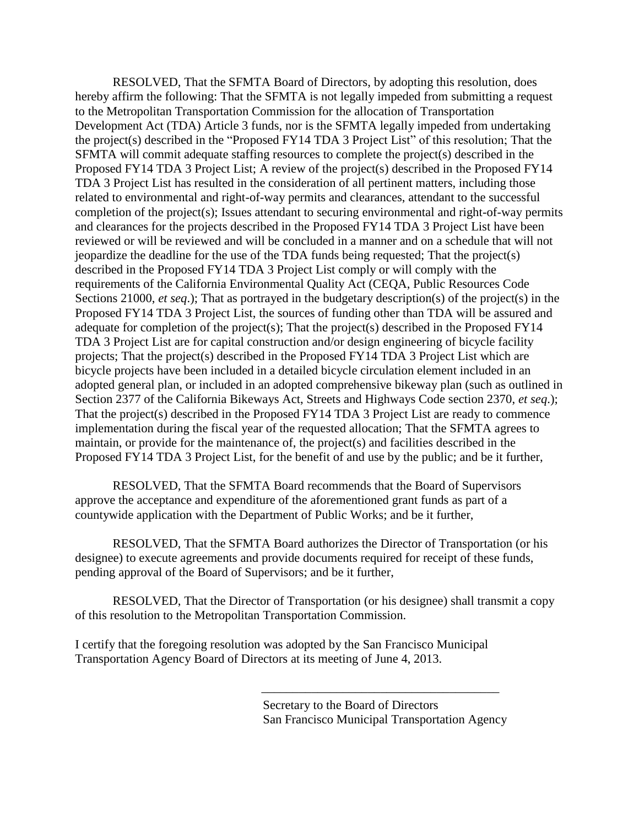RESOLVED, That the SFMTA Board of Directors, by adopting this resolution, does hereby affirm the following: That the SFMTA is not legally impeded from submitting a request to the Metropolitan Transportation Commission for the allocation of Transportation Development Act (TDA) Article 3 funds, nor is the SFMTA legally impeded from undertaking the project(s) described in the "Proposed FY14 TDA 3 Project List" of this resolution; That the SFMTA will commit adequate staffing resources to complete the project(s) described in the Proposed FY14 TDA 3 Project List; A review of the project(s) described in the Proposed FY14 TDA 3 Project List has resulted in the consideration of all pertinent matters, including those related to environmental and right-of-way permits and clearances, attendant to the successful completion of the project(s); Issues attendant to securing environmental and right-of-way permits and clearances for the projects described in the Proposed FY14 TDA 3 Project List have been reviewed or will be reviewed and will be concluded in a manner and on a schedule that will not jeopardize the deadline for the use of the TDA funds being requested; That the project(s) described in the Proposed FY14 TDA 3 Project List comply or will comply with the requirements of the California Environmental Quality Act (CEQA, Public Resources Code Sections 21000, *et seq*.); That as portrayed in the budgetary description(s) of the project(s) in the Proposed FY14 TDA 3 Project List, the sources of funding other than TDA will be assured and adequate for completion of the project(s); That the project(s) described in the Proposed FY14 TDA 3 Project List are for capital construction and/or design engineering of bicycle facility projects; That the project(s) described in the Proposed FY14 TDA 3 Project List which are bicycle projects have been included in a detailed bicycle circulation element included in an adopted general plan, or included in an adopted comprehensive bikeway plan (such as outlined in Section 2377 of the California Bikeways Act, Streets and Highways Code section 2370, *et seq*.); That the project(s) described in the Proposed FY14 TDA 3 Project List are ready to commence implementation during the fiscal year of the requested allocation; That the SFMTA agrees to maintain, or provide for the maintenance of, the project(s) and facilities described in the Proposed FY14 TDA 3 Project List, for the benefit of and use by the public; and be it further,

RESOLVED, That the SFMTA Board recommends that the Board of Supervisors approve the acceptance and expenditure of the aforementioned grant funds as part of a countywide application with the Department of Public Works; and be it further,

RESOLVED, That the SFMTA Board authorizes the Director of Transportation (or his designee) to execute agreements and provide documents required for receipt of these funds, pending approval of the Board of Supervisors; and be it further,

RESOLVED, That the Director of Transportation (or his designee) shall transmit a copy of this resolution to the Metropolitan Transportation Commission.

I certify that the foregoing resolution was adopted by the San Francisco Municipal Transportation Agency Board of Directors at its meeting of June 4, 2013.

\_\_\_\_\_\_\_\_\_\_\_\_\_\_\_\_\_\_\_\_\_\_\_\_\_\_\_\_\_\_\_\_\_\_\_\_\_\_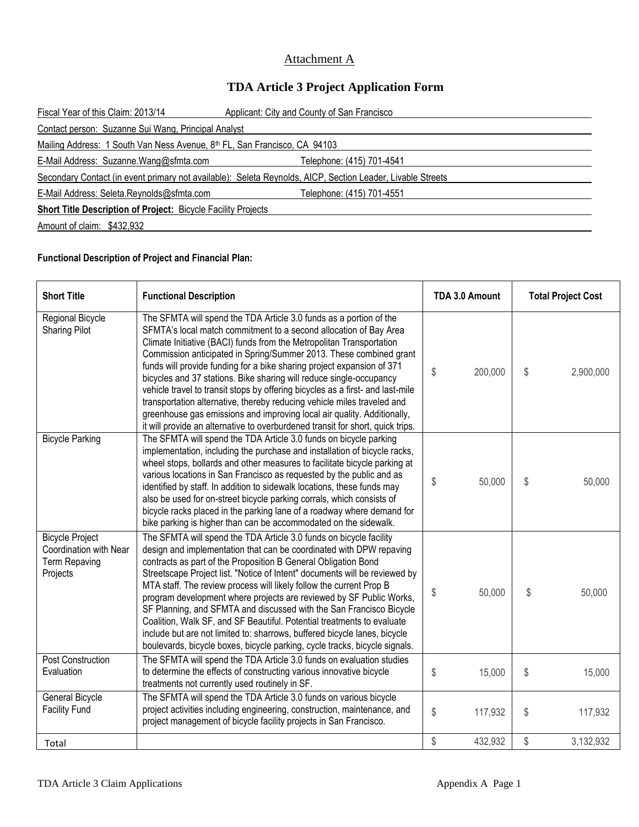# Attachment A

# **TDA Article 3 Project Application Form**

| Fiscal Year of this Claim: 2013/14                                                                         | Applicant: City and County of San Francisco |  |  |  |
|------------------------------------------------------------------------------------------------------------|---------------------------------------------|--|--|--|
| Contact person: Suzanne Sui Wang, Principal Analyst                                                        |                                             |  |  |  |
| Mailing Address: 1 South Van Ness Avenue, 8th FL, San Francisco, CA 94103                                  |                                             |  |  |  |
| E-Mail Address: Suzanne.Wang@sfmta.com                                                                     | Telephone: (415) 701-4541                   |  |  |  |
| Secondary Contact (in event primary not available): Seleta Reynolds, AICP, Section Leader, Livable Streets |                                             |  |  |  |
| E-Mail Address: Seleta.Reynolds@sfmta.com                                                                  | Telephone: (415) 701-4551                   |  |  |  |
| <b>Short Title Description of Project: Bicycle Facility Projects</b>                                       |                                             |  |  |  |
| Amount of claim: \$432,932                                                                                 |                                             |  |  |  |
|                                                                                                            |                                             |  |  |  |

#### **Functional Description of Project and Financial Plan:**

| <b>Short Title</b>                                                                   | <b>Functional Description</b>                                                                                                                                                                                                                                                                                                                                                                                                                                                                                                                                                                                                                                                                                                                                    | TDA 3.0 Amount |         | <b>Total Project Cost</b> |           |
|--------------------------------------------------------------------------------------|------------------------------------------------------------------------------------------------------------------------------------------------------------------------------------------------------------------------------------------------------------------------------------------------------------------------------------------------------------------------------------------------------------------------------------------------------------------------------------------------------------------------------------------------------------------------------------------------------------------------------------------------------------------------------------------------------------------------------------------------------------------|----------------|---------|---------------------------|-----------|
| Regional Bicycle<br><b>Sharing Pilot</b>                                             | The SFMTA will spend the TDA Article 3.0 funds as a portion of the<br>SFMTA's local match commitment to a second allocation of Bay Area<br>Climate Initiative (BACI) funds from the Metropolitan Transportation<br>Commission anticipated in Spring/Summer 2013. These combined grant<br>funds will provide funding for a bike sharing project expansion of 371<br>bicycles and 37 stations. Bike sharing will reduce single-occupancy<br>vehicle travel to transit stops by offering bicycles as a first- and last-mile<br>transportation alternative, thereby reducing vehicle miles traveled and<br>greenhouse gas emissions and improving local air quality. Additionally,<br>it will provide an alternative to overburdened transit for short, quick trips. | \$             | 200,000 | \$                        | 2,900,000 |
| <b>Bicycle Parking</b>                                                               | The SFMTA will spend the TDA Article 3.0 funds on bicycle parking<br>implementation, including the purchase and installation of bicycle racks,<br>wheel stops, bollards and other measures to facilitate bicycle parking at<br>various locations in San Francisco as requested by the public and as<br>identified by staff. In addition to sidewalk locations, these funds may<br>also be used for on-street bicycle parking corrals, which consists of<br>bicycle racks placed in the parking lane of a roadway where demand for<br>bike parking is higher than can be accommodated on the sidewalk.                                                                                                                                                            | \$             | 50,000  | \$                        | 50,000    |
| <b>Bicycle Project</b><br>Coordination with Near<br><b>Term Repaving</b><br>Projects | The SFMTA will spend the TDA Article 3.0 funds on bicycle facility<br>design and implementation that can be coordinated with DPW repaving<br>contracts as part of the Proposition B General Obligation Bond<br>Streetscape Project list. "Notice of Intent" documents will be reviewed by<br>MTA staff. The review process will likely follow the current Prop B<br>program development where projects are reviewed by SF Public Works,<br>SF Planning, and SFMTA and discussed with the San Francisco Bicycle<br>Coalition, Walk SF, and SF Beautiful. Potential treatments to evaluate<br>include but are not limited to: sharrows, buffered bicycle lanes, bicycle<br>boulevards, bicycle boxes, bicycle parking, cycle tracks, bicycle signals.              | \$             | 50,000  | \$                        | 50,000    |
| <b>Post Construction</b><br>Evaluation                                               | The SFMTA will spend the TDA Article 3.0 funds on evaluation studies<br>to determine the effects of constructing various innovative bicycle<br>treatments not currently used routinely in SF.                                                                                                                                                                                                                                                                                                                                                                                                                                                                                                                                                                    | \$             | 15,000  | \$                        | 15,000    |
| General Bicycle<br><b>Facility Fund</b>                                              | The SFMTA will spend the TDA Article 3.0 funds on various bicycle<br>project activities including engineering, construction, maintenance, and<br>project management of bicycle facility projects in San Francisco.                                                                                                                                                                                                                                                                                                                                                                                                                                                                                                                                               | \$             | 117,932 | \$                        | 117,932   |
| Total                                                                                |                                                                                                                                                                                                                                                                                                                                                                                                                                                                                                                                                                                                                                                                                                                                                                  | \$             | 432,932 | \$                        | 3,132,932 |